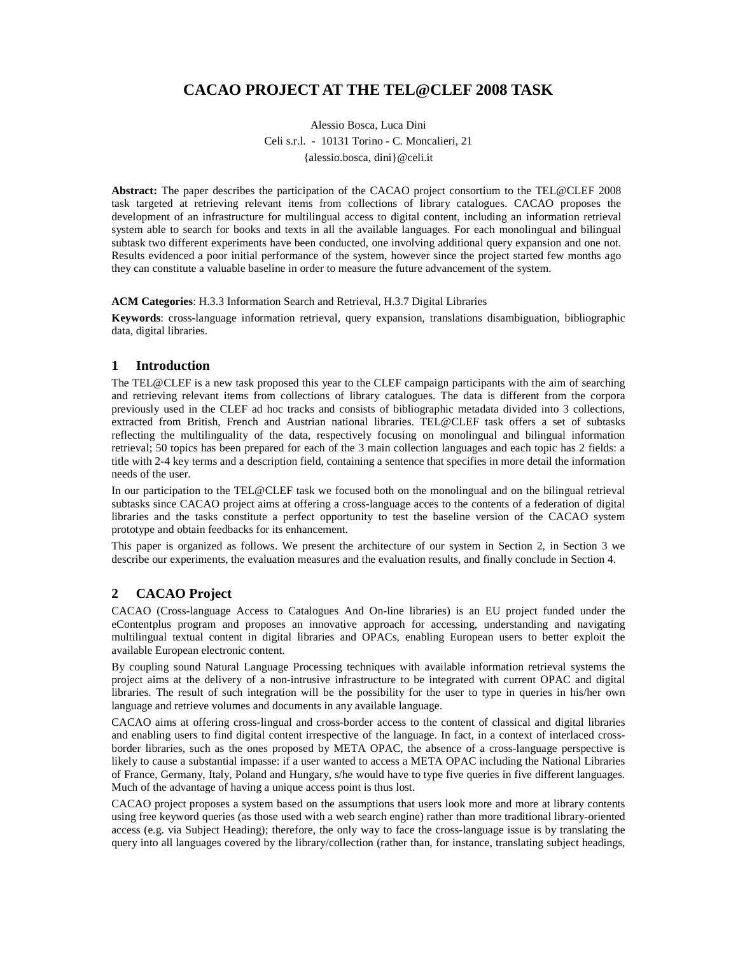# **CACAO PROJECT AT THE TEL@CLEF 2008 TASK**

Alessio Bosca, Luca Dini Celi s.r.l. - 10131 Torino - C. Moncalieri, 21 {alessio.bosca, dini}@celi.it

**Abstract:** The paper describes the participation of the CACAO project consortium to the TEL@CLEF 2008 task targeted at retrieving relevant items from collections of library catalogues. CACAO proposes the development of an infrastructure for multilingual access to digital content, including an information retrieval system able to search for books and texts in all the available languages. For each monolingual and bilingual subtask two different experiments have been conducted, one involving additional query expansion and one not. Results evidenced a poor initial performance of the system, however since the project started few months ago they can constitute a valuable baseline in order to measure the future advancement of the system.

#### **ACM Categories**: H.3.3 Information Search and Retrieval, H.3.7 Digital Libraries

**Keywords**: cross-language information retrieval, query expansion, translations disambiguation, bibliographic data, digital libraries.

#### **1 Introduction**

The TEL@CLEF is a new task proposed this year to the CLEF campaign participants with the aim of searching and retrieving relevant items from collections of library catalogues. The data is different from the corpora previously used in the CLEF ad hoc tracks and consists of bibliographic metadata divided into 3 collections, extracted from British, French and Austrian national libraries. TEL@CLEF task offers a set of subtasks reflecting the multilinguality of the data, respectively focusing on monolingual and bilingual information retrieval; 50 topics has been prepared for each of the 3 main collection languages and each topic has 2 fields: a title with 2-4 key terms and a description field, containing a sentence that specifies in more detail the information needs of the user.

In our participation to the TEL@CLEF task we focused both on the monolingual and on the bilingual retrieval subtasks since CACAO project aims at offering a cross-language acces to the contents of a federation of digital libraries and the tasks constitute a perfect opportunity to test the baseline version of the CACAO system prototype and obtain feedbacks for its enhancement.

This paper is organized as follows. We present the architecture of our system in Section 2, in Section 3 we describe our experiments, the evaluation measures and the evaluation results, and finally conclude in Section 4.

#### **2 CACAO Project**

CACAO (Cross-language Access to Catalogues And On-line libraries) is an EU project funded under the eContentplus program and proposes an innovative approach for accessing, understanding and navigating multilingual textual content in digital libraries and OPACs, enabling European users to better exploit the available European electronic content.

By coupling sound Natural Language Processing techniques with available information retrieval systems the project aims at the delivery of a non-intrusive infrastructure to be integrated with current OPAC and digital libraries. The result of such integration will be the possibility for the user to type in queries in his/her own language and retrieve volumes and documents in any available language.

CACAO aims at offering cross-lingual and cross-border access to the content of classical and digital libraries and enabling users to find digital content irrespective of the language. In fact, in a context of interlaced crossborder libraries, such as the ones proposed by META OPAC, the absence of a cross-language perspective is likely to cause a substantial impasse: if a user wanted to access a META OPAC including the National Libraries of France, Germany, Italy, Poland and Hungary, s/he would have to type five queries in five different languages. Much of the advantage of having a unique access point is thus lost.

CACAO project proposes a system based on the assumptions that users look more and more at library contents using free keyword queries (as those used with a web search engine) rather than more traditional library-oriented access (e.g. via Subject Heading); therefore, the only way to face the cross-language issue is by translating the query into all languages covered by the library/collection (rather than, for instance, translating subject headings,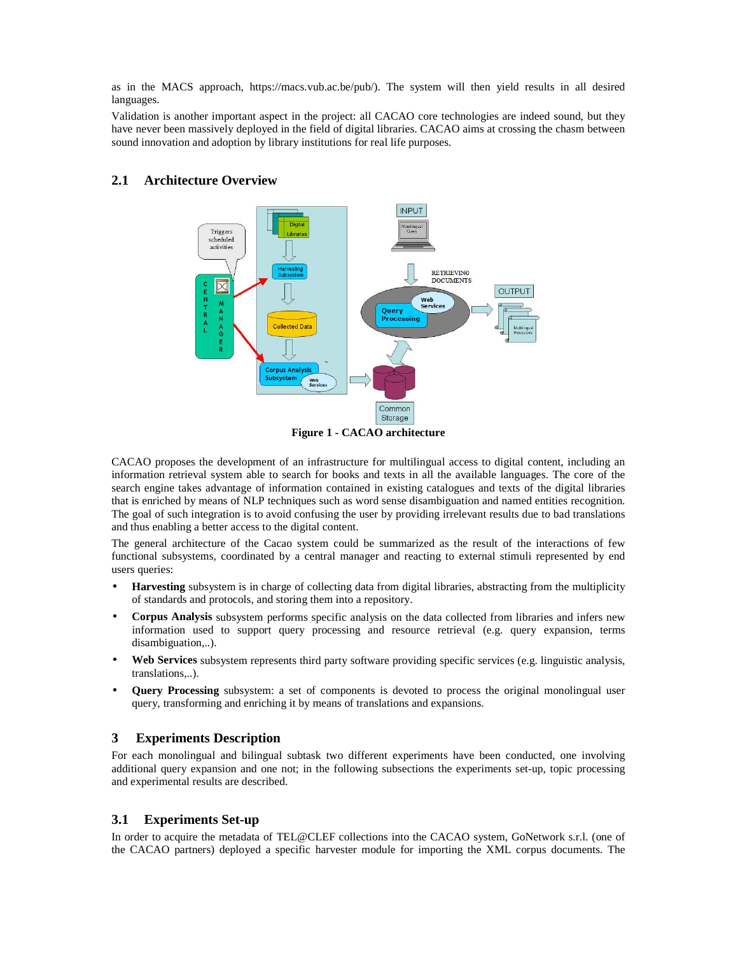as in the MACS approach, https://macs.vub.ac.be/pub/). The system will then yield results in all desired languages.

Validation is another important aspect in the project: all CACAO core technologies are indeed sound, but they have never been massively deployed in the field of digital libraries. CACAO aims at crossing the chasm between sound innovation and adoption by library institutions for real life purposes.



## **2.1 Architecture Overview**

**Figure 1 - CACAO architecture** 

CACAO proposes the development of an infrastructure for multilingual access to digital content, including an information retrieval system able to search for books and texts in all the available languages. The core of the search engine takes advantage of information contained in existing catalogues and texts of the digital libraries that is enriched by means of NLP techniques such as word sense disambiguation and named entities recognition. The goal of such integration is to avoid confusing the user by providing irrelevant results due to bad translations and thus enabling a better access to the digital content.

The general architecture of the Cacao system could be summarized as the result of the interactions of few functional subsystems, coordinated by a central manager and reacting to external stimuli represented by end users queries:

- **Harvesting** subsystem is in charge of collecting data from digital libraries, abstracting from the multiplicity of standards and protocols, and storing them into a repository.
- **Corpus Analysis** subsystem performs specific analysis on the data collected from libraries and infers new information used to support query processing and resource retrieval (e.g. query expansion, terms disambiguation,..).
- **Web Services** subsystem represents third party software providing specific services (e.g. linguistic analysis, translations,..).
- **Query Processing** subsystem: a set of components is devoted to process the original monolingual user query, transforming and enriching it by means of translations and expansions.

#### **3 Experiments Description**

For each monolingual and bilingual subtask two different experiments have been conducted, one involving additional query expansion and one not; in the following subsections the experiments set-up, topic processing and experimental results are described.

#### **3.1 Experiments Set-up**

In order to acquire the metadata of TEL@CLEF collections into the CACAO system, GoNetwork s.r.l. (one of the CACAO partners) deployed a specific harvester module for importing the XML corpus documents. The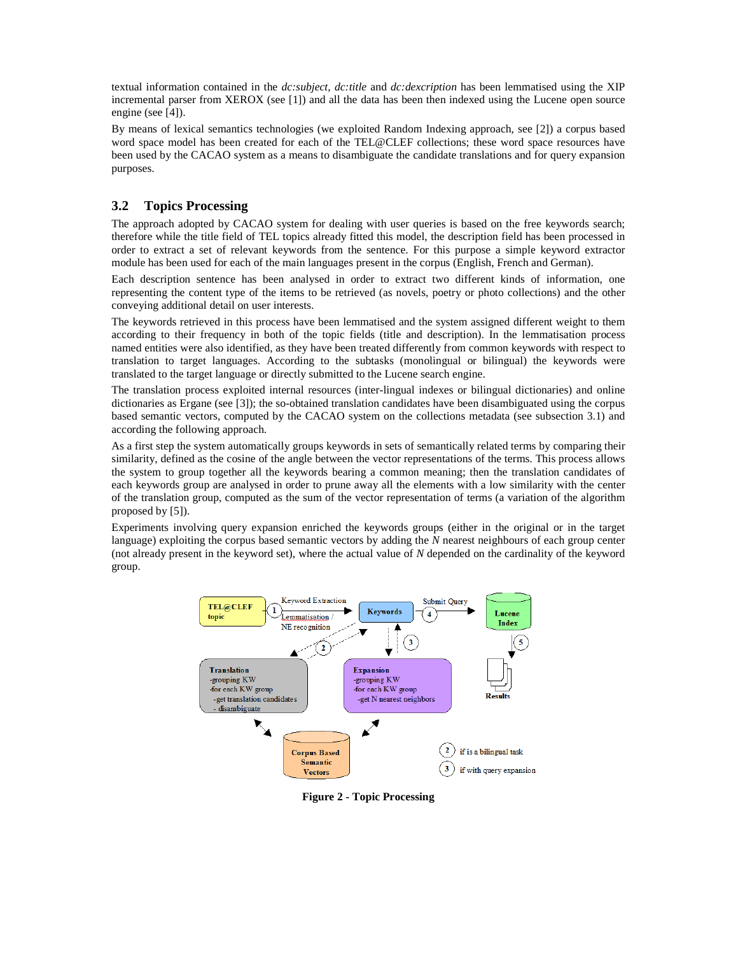textual information contained in the *dc:subject*, *dc:title* and *dc:dexcription* has been lemmatised using the XIP incremental parser from XEROX (see [1]) and all the data has been then indexed using the Lucene open source engine (see [4]).

By means of lexical semantics technologies (we exploited Random Indexing approach, see [2]) a corpus based word space model has been created for each of the TEL@CLEF collections; these word space resources have been used by the CACAO system as a means to disambiguate the candidate translations and for query expansion purposes.

## **3.2 Topics Processing**

The approach adopted by CACAO system for dealing with user queries is based on the free keywords search; therefore while the title field of TEL topics already fitted this model, the description field has been processed in order to extract a set of relevant keywords from the sentence. For this purpose a simple keyword extractor module has been used for each of the main languages present in the corpus (English, French and German).

Each description sentence has been analysed in order to extract two different kinds of information, one representing the content type of the items to be retrieved (as novels, poetry or photo collections) and the other conveying additional detail on user interests.

The keywords retrieved in this process have been lemmatised and the system assigned different weight to them according to their frequency in both of the topic fields (title and description). In the lemmatisation process named entities were also identified, as they have been treated differently from common keywords with respect to translation to target languages. According to the subtasks (monolingual or bilingual) the keywords were translated to the target language or directly submitted to the Lucene search engine.

The translation process exploited internal resources (inter-lingual indexes or bilingual dictionaries) and online dictionaries as Ergane (see [3]); the so-obtained translation candidates have been disambiguated using the corpus based semantic vectors, computed by the CACAO system on the collections metadata (see subsection 3.1) and according the following approach.

As a first step the system automatically groups keywords in sets of semantically related terms by comparing their similarity, defined as the cosine of the angle between the vector representations of the terms. This process allows the system to group together all the keywords bearing a common meaning; then the translation candidates of each keywords group are analysed in order to prune away all the elements with a low similarity with the center of the translation group, computed as the sum of the vector representation of terms (a variation of the algorithm proposed by [5]).

Experiments involving query expansion enriched the keywords groups (either in the original or in the target language) exploiting the corpus based semantic vectors by adding the *N* nearest neighbours of each group center (not already present in the keyword set), where the actual value of *N* depended on the cardinality of the keyword group.



**Figure 2 - Topic Processing**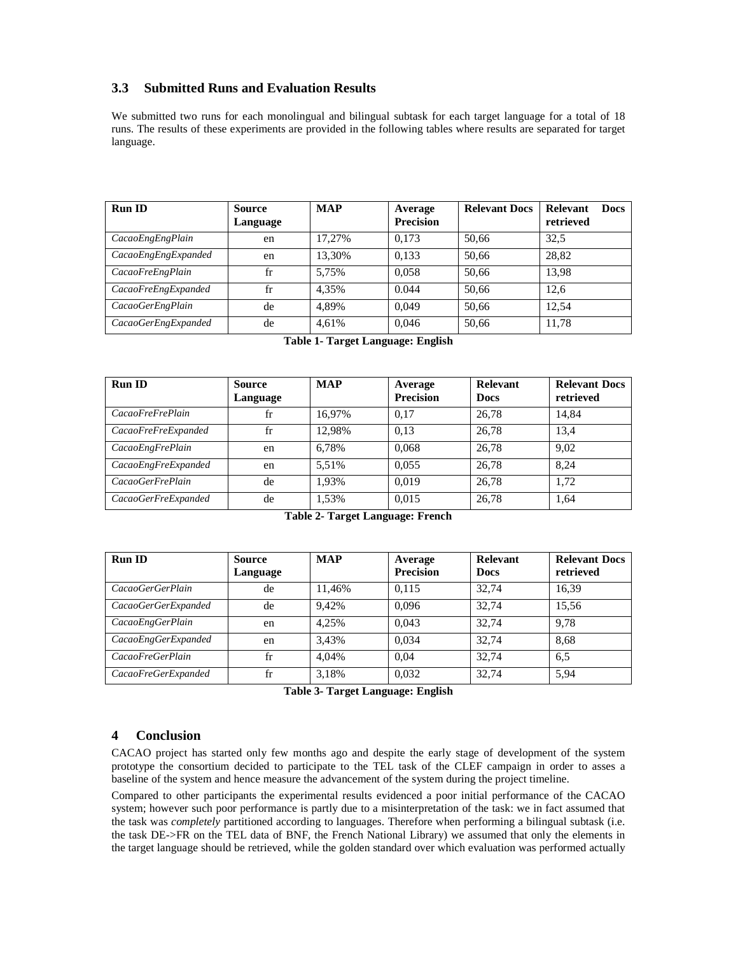## **3.3 Submitted Runs and Evaluation Results**

We submitted two runs for each monolingual and bilingual subtask for each target language for a total of 18 runs. The results of these experiments are provided in the following tables where results are separated for target language.

| <b>Run ID</b>       | <b>Source</b><br>Language | <b>MAP</b> | Average<br><b>Precision</b> | <b>Relevant Docs</b> | Relevant<br><b>Docs</b><br>retrieved |
|---------------------|---------------------------|------------|-----------------------------|----------------------|--------------------------------------|
| CacaoEngEngPlain    | en                        | 17.27%     | 0.173                       | 50.66                | 32.5                                 |
| CacaoEngEngExpanded | en                        | 13.30%     | 0.133                       | 50.66                | 28,82                                |
| CacaoFreEngPlain    | fr                        | 5.75%      | 0.058                       | 50.66                | 13.98                                |
| CacaoFreEngExpanded | fr                        | 4.35%      | 0.044                       | 50.66                | 12.6                                 |
| CacaoGerEngPlain    | de                        | 4.89%      | 0.049                       | 50.66                | 12.54                                |
| CacaoGerEngExpanded | de                        | 4.61%      | 0,046                       | 50,66                | 11,78                                |

|  |  | Table 1- Target Language: English |  |
|--|--|-----------------------------------|--|
|--|--|-----------------------------------|--|

| <b>Run ID</b>       | <b>Source</b><br>Language | <b>MAP</b> | Average<br><b>Precision</b> | Relevant<br><b>Docs</b> | <b>Relevant Docs</b><br>retrieved |
|---------------------|---------------------------|------------|-----------------------------|-------------------------|-----------------------------------|
| CacaoFreFrePlain    | fr                        | 16.97%     | 0.17                        | 26.78                   | 14.84                             |
| CacaoFreFreExpanded | fr                        | 12.98%     | 0.13                        | 26.78                   | 13,4                              |
| CacaoEngFrePlain    | en                        | 6.78%      | 0.068                       | 26.78                   | 9.02                              |
| CacaoEngFreExpanded | en                        | 5.51%      | 0.055                       | 26.78                   | 8.24                              |
| CacaoGerFrePlain    | de                        | 1.93%      | 0.019                       | 26.78                   | 1.72                              |
| CacaoGerFreExpanded | de                        | 1,53%      | 0.015                       | 26,78                   | 1,64                              |

|  |  | Table 2- Target Language: French |  |
|--|--|----------------------------------|--|
|--|--|----------------------------------|--|

| <b>Run ID</b>       | <b>Source</b><br>Language | <b>MAP</b> | Average<br><b>Precision</b> | <b>Relevant</b><br><b>Docs</b> | <b>Relevant Docs</b><br>retrieved |
|---------------------|---------------------------|------------|-----------------------------|--------------------------------|-----------------------------------|
| CacaoGerGerPlain    | de                        | 11,46%     | 0.115                       | 32.74                          | 16,39                             |
| CacaoGerGerExpanded | de                        | 9.42%      | 0.096                       | 32.74                          | 15,56                             |
| CacaoEngGerPlain    | en                        | 4.25%      | 0.043                       | 32.74                          | 9.78                              |
| CacaoEngGerExpanded | en                        | 3.43%      | 0.034                       | 32.74                          | 8.68                              |
| CacaoFreGerPlain    | fr                        | 4.04%      | 0.04                        | 32.74                          | 6.5                               |
| CacaoFreGerExpanded | fr                        | 3.18%      | 0,032                       | 32,74                          | 5,94                              |

**Table 3- Target Language: English** 

## **4 Conclusion**

CACAO project has started only few months ago and despite the early stage of development of the system prototype the consortium decided to participate to the TEL task of the CLEF campaign in order to asses a baseline of the system and hence measure the advancement of the system during the project timeline.

Compared to other participants the experimental results evidenced a poor initial performance of the CACAO system; however such poor performance is partly due to a misinterpretation of the task: we in fact assumed that the task was *completely* partitioned according to languages. Therefore when performing a bilingual subtask (i.e. the task DE->FR on the TEL data of BNF, the French National Library) we assumed that only the elements in the target language should be retrieved, while the golden standard over which evaluation was performed actually